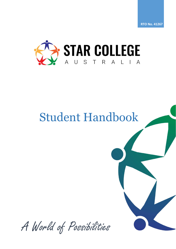

# Student Handbook

A World of Possibilities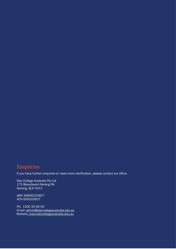# **Enquiries**

If you have further enquiries or need more clarification, please contact our office.

Star College Australia Pty Ltd 173 Beaudesert-Nerang Rd Nerang, QLD 4211

ABN 36606203927 ACN 606203927

Ph: 1300 20 60 00 Email: [admin@starcollegeaustralia.edu.au](mailto:admin@starcollegeaustralia.edu.au) Website: [www.starcollegeaustralia.edu.au](http://www.starcollegeaustralia.edu.au/)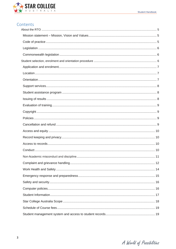

## Contents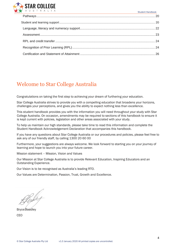

Student Handbook

# Welcome to Star College Australia

Congratulations on taking the first step to achieving your dream of furthering your education.

Star College Australia strives to provide you with a compelling education that broadens your horizons, challenges your perceptions, and gives you the ability to expect nothing less than excellence.

This student handbook provides you with the information you will need throughout your study with Star College Australia. On occasion, amendments may be required to sections of this handbook to ensure it is kept current with policies, legislation and other areas associated with your study.

To help us maintain our high standards, please take time to read this information and complete the Student Handbook Acknowledgement Declaration that accompanies this handbook.

If you have any questions about Star College Australia or our procedures and policies, please feel free to ask any of our friendly staff, by calling 1300 20 60 00

Furthermore, your suggestions are always welcome. We look forward to starting you on your journey of learning and hope to launch you into your future career.

Mission statement – Mission, Vision and Values

Our Mission at Star College Australia is to provide Relevant Education, Inspiring Educators and an Outstanding Experience.

Our Vision is to be recognised as Australia's leading RTO.

Our Values are Determination, Passion, Trust, Growth and Excellence.

Bryce Readley CEO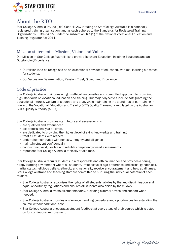

## <span id="page-4-0"></span>About the RTO

Star College Australia Pty Ltd (RTO Code 41267) trading as Star College Australia is a nationally registered training organisation, and as such adheres to the Standards for Registered Training Organisations (RTOs) 2015, under the subsection 185(1) of the National Vocational Education and Training Regulator Act 2011.

## <span id="page-4-1"></span>Mission statement – Mission, Vision and Values

Our Mission at Star College Australia is to provide Relevant Education, Inspiring Educators and an Outstanding Experience.

- **•** Our Vision is to be recognised as an exceptional provider of education, with real learning outcomes for students.
- **•** Our Values are Determination, Passion, Trust, Growth and Excellence.

## <span id="page-4-2"></span>Code of practice

Star College Australia maintains a highly ethical, responsible and committed approach to providing high standards of vocational education and training. Our major objectives include safeguarding the educational interest, welfare of students and staff, while maintaining the standards of our training in line with the Vocational Education and Training (VET) Quality Framework regulated by the Australian Skills Quality Authority (ASQA).

Star College Australia provides staff, tutors and assessors who:

- **•** are qualified and experienced
- **•** act professionally at all times
- **•** are dedicated to providing the highest level of skills, knowledge and training
- **•** treat all students with respect
- **•** undertake their duties with honesty, integrity and diligence
- **•** maintain student confidentially
- **•** conduct fair, valid, flexible and reliable competency-based assessments
- **•** represent Star College Australia ethically at all times.

Star College Australia recruits students in a responsible and ethical manner and provides a caring, happy learning environment where all students, irrespective of age preference and sexual gender, sex, marital status, religious beliefs, ethnicity and nationality receive encouragement and help at all times. Star College Australia and teaching staff are committed to nurturing the individual potential of each student.

- **•** Star College Australia recognises the rights of all students, abides by the anti-discrimination and equal opportunity regulations and ensures all students also abide by these laws.
- **•** Star College Australia treats all students fairly, providing external advice and support when needed.
- **•** Star College Australia provides a grievance handling procedure and opportunities for extending the course without additional cost.
- **•** Star College Australia encourages student feedback at every stage of their course which is acted on for continuous improvement.

A World of Possibilities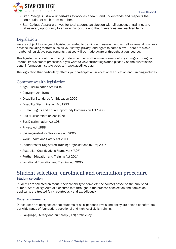

- **•** Star College Australia undertakes to work as a team, and understands and respects the contribution of each team member.
- **•** Star College Australia strives for total student satisfaction with all aspects of training, and takes every opportunity to ensure this occurs and that grievances are resolved fairly.

## <span id="page-5-0"></span>Legislation

We are subject to a range of legislation related to training and assessment as well as general business practice including matters such as your safety, privacy, and rights to name a few. There are also a number of legislative requirements that you will be made aware of throughout your course.

This legislation is continually being updated and all staff are made aware of any changes through our internal improvement processes. If you want to view current legislation please visit the Australasian Legal Information Institute website – www.austlii.edu.au.

The legislation that particularly affects your participation in Vocational Education and Training includes:

## <span id="page-5-1"></span>Commonwealth legislation

- **•** Age Discrimination Act 2004
- **•** Copyright Act 1968
- **•** Disability Standards for Education 2005
- **•** Disability Discrimination Act 1992
- **•** Human Rights and Equal Opportunity Commission Act 1986
- **•** Racial Discrimination Act 1975
- **•** Sex Discrimination Act 1984
- **•** Privacy Act 1988
- **•** Skilling Australia's Workforce Act 2005
- **•** Work Health and Safety Act 2011
- **•** Standards for Registered Training Organisations (RTOs) 2015
- **•** Australian Qualifications Framework (AQF)
- **•** Further Education and Training Act 2014
- **•** Vocational Education and Training Act 2005

# <span id="page-5-2"></span>Student selection, enrolment and orientation procedure

## **Student selection**

Students are selected on merit, (their capability to complete the course) based on the published criteria. Star College Australia ensures that throughout the process of selection and admission, applicants are treated fairly, courteously and expeditiously.

## **Entry requirements**

Our courses are designed so that students of all experience levels and ability are able to benefit from our wide range of foundation, vocational and high-level skills training.

**•** Language, literacy and numeracy (LLN) proficiency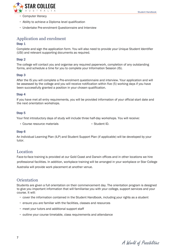

- **•** Computer literacy
- **•** Ability to achieve a Diploma level qualification
- **•** Undertake Pre-enrolment Questionnaire and Interview

## <span id="page-6-0"></span>Application and enrolment

## Step 1

Complete and sign the application form. You will also need to provide your Unique Student Identifier (USI) and relevant supporting documents as required.

#### Step 2

The college will contact you and organise any required paperwork, completion of any outstanding forms, and schedule a time for you to complete your Information Session (IS).

#### Step 3

After the IS you will complete a Pre-enrolment questionnaire and interview. Your application and will be assessed by the college and you will receive notification within five (5) working days if you have been successfully granted a position in your chosen qualification.

#### Step 4

If you have met all entry requirements, you will be provided information of your official start date and the next orientation workshops.

#### Step 5

Your first introductory days of study will include three half-day workshops. You will receive:

• Course resource materials • Student ID.

#### Step 6

An Individual Learning Plan (ILP) and Student Support Plan (if applicable) will be developed by your tutor.

## <span id="page-6-1"></span>Location

Face-to-face training is provided at our Gold Coast and Darwin offices and in other locations we hire professional facilities. In addition, workplace training will be arranged in your workplace or Star College Australia will provide work placement at another venue.

## <span id="page-6-2"></span>**Orientation**

Students are given a full orientation on their commencement day. The orientation program is designed to give you important information that will familiarise you with your college, support services and your course. It will:

- **•** cover the information contained in the Student Handbook, including your rights as a student
- **•** ensure you are familiar with the facilities, classes and resources
- **•** meet your tutors and additional support staff
- **•** outline your course timetable, class requirements and attendance

A World of Possibilities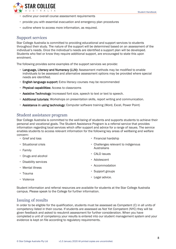

- **•** outline your overall course assessment requirements
- **•** provide you with essential evacuation and emergency plan procedures
- **•** outline where to access more information, as required.

## <span id="page-7-0"></span>Support services

Star College Australia is committed to providing educational and support services to students throughout their study. The nature of the support will be determined based on an assessment of the individual's needs. Once the individual's needs are identified a support plan will be developed. Students who feel or know they require additional support, are encouraged to state this upon enrolment.

The following provides some examples of the support services we provide:

- **•** Language, Literacy and Numeracy (LLN): Assessment methods may be modified to enable individuals to be assessed and alternative assessment options may be provided where special needs are identified.
- **•** English language support: Extra literacy courses may be recommended
- **•** Physical capabilities: Access to classrooms
- **•** Assistive Technology: Increased font size, speech to text or text to speech.
- **•** Additional tutorials: Workshops on presentation skills, report writing and communication.
- **•** Assistance in using technology: Computer software training (Word, Excel, Power Point)

## <span id="page-7-1"></span>Student assistance program

Star College Australia is committed to the well-being of students and supports students to achieve their personal and vocational goals. The Student Assistance Program is a referral service that provides information regarding local services which offer support and advice for a range of issues. The service enables students to access relevant information for the following key areas of wellbeing and welfare concern:

- **•** Grief and loss
- **•** Situational crisis
- **•** Family
- **•** Drugs and alcohol
- **•** Disability services
- **•** Mental illness
- **•** Trauma
- **•** Violence
- **•** Financial hardship
- **•** Challenges relevant to indigenous **Australians**
- **•** CALD issues
- **•** Adolescent
- **•** Accommodation
- **•** Support groups
- **•** Legal advice.

Student information and referral resources are available for students at the Star College Australia campus. Please speak to the College for further information.

## <span id="page-7-2"></span>Issuing of results

In order to be eligible for the qualification, students must be assessed as Competent (C) in all units of competency listed in their course. If students are assessed as Not Yet Competent (NYC) they will be given feedback and asked to resubmit assessment for further consideration. When you have completed a unit of competency your results is entered into our student management system and your evidence is kept on file according to regulatory requirements.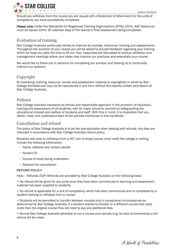

Should you withdraw from the course you are issued with a Statement of Attainment for the units of competency you have successfully completed.

*Please note:* Under the Standards for Registered Training Organisations (RTOs) 2015, AQF testamurs must be issued within 30 calendar days of the learner's final assessment being completed.

## <span id="page-8-0"></span>Evaluation of training

Star College Australia continually strives to improve its courses, resources, training and assessments. Throughout the duration of your course you will be asked to provide feedback regarding your training, which we hope you take the time to fill out. Your responses are discussed at various validation and management meetings where your ideas may improve our practices and essentially your course.

We would like to thank you in advance for completing our surveys, and helping us to continually improve our systems.

## <span id="page-8-1"></span>Copyright

All marketing, training, resource, course and assessment material is copyrighted in whole by Star College Australia and may not be reproduced in any form without the express written permission of Star College Australia.

## <span id="page-8-2"></span>Policies

Star College Australia maintains an ethical and responsible approach in the provision of education, training and assessment of all students, with its major concerns centred on safeguarding the educational interest and welfare of students and staff. With this in mind, it is imperative that you obtain, read, and understand each of the policies mentioned in this handbook.

## <span id="page-8-3"></span>Cancellation and refund

The policy of Star College Australia is to be fair and equitable when dealing with refunds. Any fees are refunded in accordance with Star College Australia refund policy.

Students who wish to withdraw from a VET unit of study/course must notify the college in writing, include the following information:

- **•** Name, address and contact details
- **•** Student ID
- **•** Course of study being undertaken
- **•** Reasons for cancellation

## **REFUND POLICY**

Fees – Refunds (CoP) Refunds are provided by Star College Australia on the following basis:

• No refund will be given for any units once they have been commenced or learning and assessment material has been supplied to students.

• No refund is applicable for a unit of competency which has been commenced and or completed by a student wishing to withdraw from a course.

• Students will be permitted to transfer between courses only in exceptional circumstances as determined by Star College Australia. If a student wishes to transfer to a different course that costs more than the original course they will need to pay any additional fees.

• Should Star College Australia advertise to run a course and cancels (e.g. for lack of enrolments) a full refund will be made.

A World of Possibilities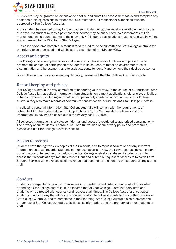

• Students may be granted an extension to finalise and submit all assessment tasks and complete any additional training sessions in exceptional circumstances. All requests for extensions must be approved by Star College Australia.

• If a student has elected to pay for their course in instalments, they must make all payments by the due date. If a student misses a payment their course may be suspended: no assessments will be marked until the student has made the payment. • All course cancellations must be received in writing and addressed to the Director of Star College.

• In cases of extreme hardship, a request for a refund must be submitted to Star College Australia for the refund to be processed and will be at the discretion of the Director/CEO.

## <span id="page-9-0"></span>Access and equity

Star College Australia applies access and equity principles across all policies and procedures to promote full and equal participation of students in its courses, to foster an environment free of discrimination and harassment, and to assist students to identify and achieve their desired outcomes.

For a full version of our access and equity policy, please visit the Star College Australia website.

## <span id="page-9-1"></span>Record keeping and privacy

Star College Australia is firmly committed to honouring your privacy. In the course of our business, Star College Australia may collect information from students' enrolment applications, either electronically or in hard copy format, including information that personally identifies individual users. Star College Australia may also make records of communications between individuals and Star College Australia.

In collecting personal information, Star College Australia will comply with the requirements of Schedule 1A of the Higher Education Support Act 2003, the Vet Provider Guidelines and the Information Privacy Principles set out in the Privacy Act 1988 (Cth).

All collected information is private, confidential and access is restricted to authorised personnel only. The privacy of our students is paramount. For a full version of our privacy policy and procedures, please visit the Star College Australia website.

## <span id="page-9-2"></span>Access to records

Students have the right to view copies of their records, and to request corrections of any incorrect information on those records. Students can request access to view their own records, including a print out of the computerised records held on the Star College Australia database. If students want to access their records at any time, they must fill out and submit a Request for Access to Records Form. Student Services will make copies of the requested documents and send to the student via registered mail.

## <span id="page-9-3"></span>**Conduct**

Students are expected to conduct themselves in a courteous and orderly manner at all times when attending a Star College Australia. It is expected that all Star College Australia tutors, staff and students will be treated with courtesy and respect at all times. Star College Australia encourages students to act in a way that allows reasonable freedom to fellow students to pursue their studies at Star College Australia, and to participate in their learning. Star College Australia also promotes the proper use of Star College Australia's facilities, its information, and the property of other students or staff.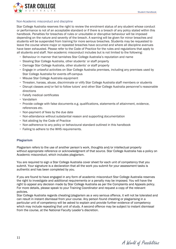

#### <span id="page-10-0"></span>Non-Academic misconduct and discipline

Star College Australia reserves the right to review the enrolment status of any student whose conduct or performance is not of an acceptable standard or if there is a breach of any policy stated within this handbook. Penalties for breaches of rules or unsuitable or disruptive behaviour will be imposed depending on the nature and severity of the breach. A warning will be given for minor breaches and students will be suspended from training for more serious breaches. Students may be requested to leave the course where major or repeated breaches have occurred and where all discipline avenues have been exhausted. Please refer to the Code of Practice for the rules and regulations that apply to all students and staff. Non-academic misconduct includes but is not limited to the following:

- **•** Behaviour in manner that tarnishes Star College Australia's reputation and name
- **•** Stealing Star College Australia, other students' or staff property
- **•** Damage Star College Australia, other students' or staff property
- **•** Engage in unlawful activities on Star College Australia premises, including any premises used by Star College Australia for events off-campus
- **•** Misuse Star College Australia equipment
- **•** Threaten, harass, abuse, discriminate or vilify Star College Australia staff members or students
- **•** Disrupt classes and/or fail to follow tutors' and other Star College Australia personnel's reasonable directions
- **•** Falsify medical certificates
- **•** Vandalism
- **•** Provide college with false documents e.g. qualifications, statements of attainment, evidence, references etc.
- **•** Non-payment of fees by the due date
- **•** Non-attendance without substantial reason and supporting documentation
- **•** Not abiding by the Code of Practice
- **•** Non-adherence to any policy or behavioural standard outlined in this handbook
- **•** Failing to adhere to the WHS requirements.

#### **Plagiarism**

Plagiarism refers to the use of another person's work, thoughts and/or intellectual property without appropriate reference or acknowledgment of that source. Star College Australia has a policy on Academic misconduct, which includes plagiarism.

You are required to sign a Star College Australia cover sheet for each unit of competency that you submit. Your signature is a declaration that all the work you submit for your assessment tasks is authentic and has been completed by you.

If you are found to have engaged in any form of academic misconduct Star College Australia reserves the right to investigate and additional requirements or a penalty may be imposed. You will have the right to appeal any decision made by Star College Australia as per the Complaints and Appeals policy. For more details, please speak to your Training Coordinator and request a copy of the relevant policies.

Star College Australia regards cheating/plagiarism as a very serious offence, it will not be tolerated and can result in instant dismissal from your course. Any person found cheating or plagiarising in a particular unit of competency will be asked to explain and provide further evidence of competency which may include repeating that unit of study. A second offence may be subject to instant dismissal from the course, at the National Faculty Leader's discretion.

A World of Possibilities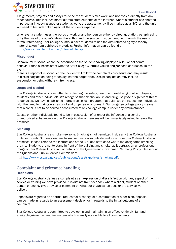

Assignments, projects and essays must be the student's own work, and not copied directly from any other source. This includes material from staff, students or the internet. Where a student has cheated in particular in copying another student's work, the assessment will be marked as a NYC, and the unit will need to be undertaken again at the students expense.

Whenever a student uses the words or work of another person either by direct quotation, paraphrasing or by the use of the other's ideas, the author and the source must be identified through the use of formal referencing. Star College Australia asks students to use the APA referencing style for any material taken from published materials. Further information can be found at <http://www.citewrite.qut.edu.au/cite/qutcite.jsp>

## **Misconduct**

Behavioural misconduct can be described as the student having displayed wilful or deliberate behaviour that is inconsistent with the Star College Australia values and /or code of practice. In the event

there is a report of misconduct, the incident will follow the complaints procedure and may result in disciplinary action being taken against the perpetrator. Disciplinary action may include suspension or being withdrawn from class.

## **Drugs and alcohol**

Star College Australia is committed to protecting the safety, health and well-being of all employees, students and other individuals. We recognise that alcohol abuse and drug use pose a significant threat to our goals. We have established a drug-free college program that balances our respect for individuals with the need to maintain an alcohol and drug-free environment. Our drug-free college policy means that alcohol is not to be served or consumed at any college campus under any circumstances.

Guests or other individuals found to be in possession of or under the influence of alcohol or unauthorised substances on Star College Australia premises will be immediately asked to leave the premises.

## **Smoking**

Star College Australia is a smoke free zone. Smoking is not permitted inside any Star College Australia or its surrounds. Students wishing to smoke must do so outside and away from Star College Australia premises. Please listen to the instructions of the CEO and staff as to where the designated smoking area is. Students are not to stand in front of the building and smoke, as it portrays an unprofessional image of Star College Australia. For details on the Queensland Government Smoking Policy, please visit the Queensland Public Service Commission:

 [http://www.psc.qld.gov.au/publications/assets/policies/smoking.pdf.](http://www.psc.qld.gov.au/publications/assets/policies/smoking.pdf)

## <span id="page-11-0"></span>Complaint and grievance handling

## **Definitions**

Star College Australia defines a complaint as an expression of dissatisfaction with any aspect of the service or training we have provided. It is distinct from feedback where a client, student or other person or agency gives advice or comment on what our organisation does or the service we deliver.

Appeals are regarded as a formal request for a change or a confirmation of a decision. Appeals can be made in regards to an assessment decision or in regards to the initial outcome of a complaint.

Star College Australia is committed to developing and maintaining an effective, timely, fair and equitable grievance handling system which is easily accessible to all complainants.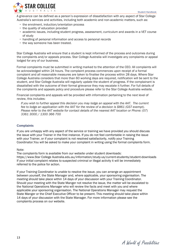

A grievance can be defined as a person's expression of dissatisfaction with any aspect of Star College Australia's services and activities, including both academic and non-academic matters, such as:

- **•** the enrolment, induction/orientation process
- **•** the quality of education provided
- **•** academic issues, including student progress, assessment, curriculum and awards in a VET course of study
- **•** handling of personal information and access to personal records
- **•** the way someone has been treated.

Star College Australia will ensure that a student is kept informed of the process and outcomes during the complaints and/or appeals process. Star College Australia will investigate any complaints or appeal lodged for any of our business.

Formal complaints must be submitted in writing marked to the attention of the CEO. All complaints will be acknowledged within 24 hours. The complaint process commences upon receipt of a formal complaint and all reasonable measures are taken to finalise the process within 28 days. Where Star College Australia considers that more than 60 working days are required, notification will be sent to the student, and Star College Australia will regularly update the student of progress. If the complainant is dissatisfied with the outcome of their formal grievance they may escalate it further. For full details of the complaints and appeals policy and procedure please refer to the Star College Australia website.

Financial complaints and appeals will be provided with information pertaining to the next level of review, this includes:

*If you wish to further appeal this decision you may lodge an appeal with the AAT. The current fee to lodge an application with the AAT for the review of a decision is \$861 (GST exempt). Please refer to the AAT website for contact details of the nearest AAT location or Phone: (07) 3361 3000 / 1300 366 700*

## **Complaints**

If you are unhappy with any aspect of the service or training we have provided you should discuss the issue with your Trainer in the first instance. If you do not feel comfortable in raising the issue with your Trainer, or if your complaint is not resolved satisfactorily, notify your Training Coordinator.You will be asked to make your complaint in writing using the formal complaints form.

### Note:

The complaints form is available from our website under student downloads: https://www.Star College Australia.edu.au/information/study-us/current-students/student-downloads If your initial complaint relates to suspected criminal or illegal activity it will be immediately referred to the police for action.

If your Training Coordinator is unable to resolve the issue, you can arrange an appointment between yourself, the State Manager and, where applicable, your sponsoring organisation. The meeting should take place within 14 days of your discussion with your Training Coordinator. Should your meeting with the State Manger not resolve the issue, the matter will be escalated to the National Operations Manager who will review the facts and meet with you and where applicable your sponsoring organisation. The National Operations Manager may request the State Manger or the Chief Executive Officer to be present. This meeting should take place within 14 days of your discussion with the State Manager. For more information please see the complaints process on our website.

A World of Possibilities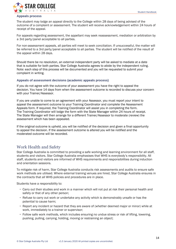

#### **Appeals process**

The student may lodge an appeal directly to the College within 28 days of being advised of the outcome of a complaint or assessment. The student will receive acknowledgement within 24 hours of receipt of the appeal.

For appeals regarding assessment, the appellant may seek reassessment, mediation or arbitration by a 3rd party/panel acceptable to all parties.

For non-assessment appeals, all parties will meet to seek conciliation. If unsuccessful, the matter will be referred to a 3rd party/panel acceptable to all parties. The student will be notified of the result of the appeal within 28 days.

Should there be no resolution, an external independent party will be asked to mediate at a date that is suitable for both parties. Star College Australia agrees to abide by the independent ruling. Note: each step of this process will be documented and you will be requested to submit your complaint in writing.

#### **Appeals of assessment decisions (academic appeals process)**

If you do not agree with the outcome of your assessment you have the right to appeal the decision. You have 14 days from when the assessment outcome is recorded to discuss your concern with your Trainer/Assessor.

If you are unable to come to an agreement with your Assessor, you must report your intent to appeal the assessment outcome to your Training Coordinator and complete the Assessment Appeals form. If required, the Training Coordinator will assist you in completing the form. The Training Coordinator will lodge the form with the State Manager within 24 hours of receipt. The State Manager will then arrange for a different Trainer/Assessor to moderate (review) the assessment which has been appealed.

If the original outcome is upheld, you will be notified of the decision and given a final opportunity to appeal the decision. If the assessment outcome is altered you will be notified and the moderated outcome will be recorded.

## <span id="page-13-0"></span>Work Health and Safety

Star College Australia is committed to providing a safe working and learning environment for all staff, students and visitors. Star College Australia emphasises that WHS is everybody's responsibility. All staff, students and visitors are informed of WHS requirements and responsibilities during induction and orientation sessions.

To mitigate risk of harm, Star College Australia conducts risk assessments and audits to ensure safe work methods are utilised. Where external training venues are hired, Star College Australia ensures in the contracts that all WHS policies and procedures are in place.

Students have a responsibility to:

- **•** Carry out their studies and work in a manner which will not put at risk their personal health and safety or that of any other person;
- **•** Refuse to carry out work or undertake any activity which is demonstrably unsafe or has the potential to cause harm;
- **•** Report any incident or hazard that they are aware of (whether deemed major or minor) while at work, immediately to a trainer or supervisor;
- **•** Follow safe work methods, which includes ensuring no undue stress or risk of lifting, lowering, pushing, pulling, carrying, holding, moving or restraining an object;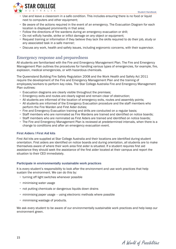

- **•** Use and leave a classroom in a safe condition. This includes ensuring there is no food or liquid next to computers and other equipment;
- **•** Be aware of the actions required in the event of an emergency. The Evacuation Diagram for each location is displayed prominently in that area;
- **•** Follow the directions of fire wardens during an emergency evacuation or drill;
- **•** Do not wilfully handle, strike or inflict damage on any object or equipment;
- **•** Request training or information if they believe they lack the skills required to do their job, study or any associated task in a safe manner;
- **•** Discuss any work, health and safety issues, including ergonomic concerns, with their supervisor.

## <span id="page-14-0"></span>Emergency response and preparedness

All students are familiarised with the Fire and Emergency Management Plan. The Fire and Emergency Management Plan outlines the procedures for handling various types of emergencies, for example, fire, explosion, medical emergencies, or with hazardous chemicals.

The Queensland Building Fire Safety Regulation 2008 and the Work Health and Safety Act 2011 require the development of the Fire and Emergency Management Plan and the training of employees/workers to perform key roles. The Star College Australia Fire and Emergency Management Plan outlines:

- **•** Evacuation diagrams are clearly visible throughout the premises;
- **•** Emergency exits and routes are clearly signed and remain clear of obstruction;
- **•** All students are informed of the location of emergency exits, routes and assembly points;
- **•** All students are informed of the Emergency Evacuation procedure and the staff members who perform the Fire Warden and First Aider duties;
- **•** Fire and Emergency Evacuation training and drills are conducted on a regular basis;
- **•** Staff members who are nominated as Fire Wardens are trained and identified on notice boards;
- **•** Staff members who are nominated as First Aiders are trained and identified on notice boards;
- **•** The Fire and Emergency Management Plan is reviewed at predetermined intervals, when there is a change to conditions and after an emergency evacuation event.

### **First Aiders / First Aid kits**

First Aid kits are supplied at Star College Australia and their locations are identified during student orientation. First aiders are identified on notice boards and during orientation, all students are to make themselves aware of where their work area first aider is situated. If a student requires first aid assistance they should seek the assistance of the first aider located at their campus and report the situation to their CEO immediately.

### **Participate in environmentally sustainable work practices**

It is every student's responsibility to look after the environment and use work practices that help sustain the environment. We can do this by:

- **•** turning off light switches whenever possible
- **•** minimising water usage
- **•** not putting chemicals or dangerous liquids down drains
- **•** minimising paper usage using electronic methods where possible
- **•** minimising wastage of products.

We ask every student to be aware of our environmentally sustainable work practices and help keep our environment green.

A World of Possibilities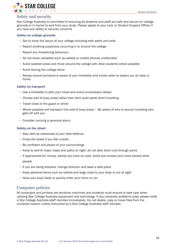

## <span id="page-15-0"></span>Safety and security

Star College Australia is committed to ensuring all students and staff are safe and secure on college grounds or in transit to and from your study. Please speak to your tutor or Student Support Officer if you have any safety or security concerns

#### **Safety on college grounds**

- **•** Get to know the layout of your college including safe paths and exits
- **•** Report anything suspicious occurring in or around the college
- **•** Report any threatening behaviour
- **•** Do not leave valuables such as wallets or mobile phones unattended
- **•** Avoid isolated areas and move around the college with other students where possible
- **•** Avoid leaving the college alone
- **•** Always ensure someone is aware of your timetable and knows when to expect you at class or home.

#### **Safety on transport**

- **•** Use a timetable to plan your travel and avoid unnecessary delays
- **•** Choose well lit busy areas rather than dark quiet spots when travelling
- **•** Travel close to the guard or driver
- **•** Where possible exit transport into well-lit busy areas Be aware of who is around including who gets off with you
- **•** Consider carrying a personal alarm.

#### **Safety on the street**

- **•** Stay alert as awareness is your best defence
- **•** Cross the street if you feel unsafe
- **•** Be confident and aware of your surroundings
- **•** Keep to well-lit major roads and paths at night, do not take short cuts through parks
- **•** If approached for money, advise you have no cash, avoid eye contact and move toward other people
- **•** If you are being followed, change direction and seek a safe place
- **•** Keep personal items such as wallets and bags close to your body or out of sight
- **•** Have your keys ready to quickly enter your home or car.

## <span id="page-15-1"></span>Computer policies

All computers and printers are sensitive machines and students must ensure to take care when utilising Star College Australia equipment and technology. If any computer problems arise please notify a Star College Australia staff member immediately. Do not delete, copy or move files from the computer system unless instructed by a Star College Australia staff member.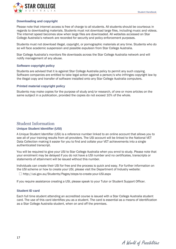

#### **Downloading and copyright**

Please note that internet access is free of charge to all students. All students should be courteous in regards to downloading materials. Students must not download large files, including music and videos. The internet speed becomes slow when large files are downloaded. All websites accessed on Star College Australia's network are recorded for security and policy enforcement purposes.

Students must not download illegal, copyright, or pornographic materials at any time. Students who do so will face academic suspension and possible expulsion from Star College Australia.

Star College Australia's monitors file downloads across the Star College Australia network and will notify management of any abuse.

#### **Software copyright policy**

Students are advised that it is against Star College Australia policy to permit any such copying. Software companies are entitled to take legal action against a person/s who infringes copyright law by the illegal copy and transfer of software installed onto any Star College Australia computers.

#### **Printed material copyright policy**

Students may make copies for the purpose of study and/or research, of one or more articles on the same subject in a publication, provided the copies do not exceed 10% of the whole.

## <span id="page-16-0"></span>Student Information

### **Unique Student Identifier (USI)**

A Unique Student Identifier (USI) is a reference number linked to an online account that allows you to see all of your training results from all providers. The USI account will be linked to the National VET Data Collection making it easier for you to find and collate your VET achievements into a single authenticated transcript.

You will be required to give your USI to Star College Australia when you enrol to study. Please note that your enrolment may be delayed if you do not have a USI number and no certificates, transcripts or statements of attainment will be issued without this number.

Individuals can create their USI for free and the process is quick and easy. For further information on the USI scheme or how to create your USI, please visit the Department of Industry website:

http://usi.gov.au/Students/Pages/steps-to-create-your-USI.aspx

If you require assistance creating a USI, please speak to your Tutor or Student Support Officer.

#### **Student ID card**

Each full time student attending an accredited course is issued with a Star College Australia student card. The use of this card identifies you as a student. The card is essential as a means of identification as a Star College Australia student, when on and off the premises.

A World of Possibilities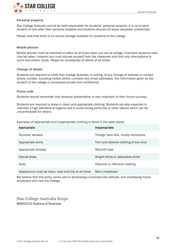

#### **Personal property**

Star College Australia cannot be held responsible for students' personal property. It is up to each student to look after their personal property and students should not leave valuables unattended.

Please note that there is no secure storage available for students at the college.

#### **Mobile phones**

Mobile phones must be switched to silent at all times when you are at college. Important personal calls may be taken, however you must excuse yourself from the classroom and limit any interruptions to yours and others' study. Please be considerate of others at all times.

#### **Change of details**

Students are required to notify Star College Australia, in writing, of any change of address or contact phone number, including mobile phone numbers and email addresses. Any information given by the student to the college is considered private and confidential.

#### **Dress code**

Students should remember that personal presentation is very important to their future success.

Students are required to dress in clean and appropriate clothing. Students are also expected to maintain a high standard of hygiene and to avoid strong perfumes or other odours which can be uncomfortable for others.

*Examples of appropriate and inappropriate clothing is listed in the table below:*

| Appropriate                                          | Inappropriate                          |
|------------------------------------------------------|----------------------------------------|
| Runners, sandals                                     | Thongs, bare feet, muddy workbooks     |
| Appropriate skirts                                   | Torn and tattered clothing of any kind |
| Appropriate dresses                                  | Mid-drift tops                         |
| Casual dress                                         | Singlet shirts or sleeveless shirts    |
| Suits                                                | Obscene or offensive clothing          |
| Appearance must be clean, neat and tidy at all times | Men's headwear                         |

We believe that this policy works well in developing a business-like attitude, and impressing future employers who visit the College.

## <span id="page-17-0"></span>Star College Australia Scope

BSB50215 Diploma of Business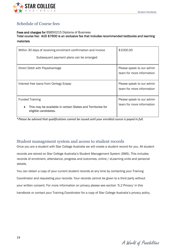

## <span id="page-18-0"></span>Schedule of Course fees

#### Fees and charges for BSB50215 Diploma of Business

## Total course fee: AUD \$7600 is an exclusive fee that includes recommended textbooks and learning materials

| Within 30 days of receiving enrolment confirmation and invoice<br>Subsequent payment plans can be arranged    | \$1000.00                                              |
|---------------------------------------------------------------------------------------------------------------|--------------------------------------------------------|
| Direct Debit with Payadvantage                                                                                | Please speak to our admin<br>team for more information |
| Interest free loans from Certegy Ezipay                                                                       | Please speak to our admin<br>team for more information |
| <b>Funded Training</b><br>This may be available in certain States and Territories for<br>eligible candidates. | Please speak to our admin<br>team for more information |

\**Please be advised that qualifications cannot be issued until your enrolled course is payed in full.* 

## <span id="page-18-1"></span>Student management system and access to student records

Once you are a student with Star College Australia we will create a student record for you. All student

records are stored on Star College Australia's Student Management System (SMS). This includes records of enrolment, attendance, progress and outcomes, online / eLearning units and personal details.

You can obtain a copy of your current student records at any time by contacting your Training

Coordinator and requesting your records. Your records cannot be given to a third party without

your written consent. For more information on privacy please see section '5.2 Privacy' in this

handbook or contact your Training Coordinator for a copy of Star College Australia's privacy policy.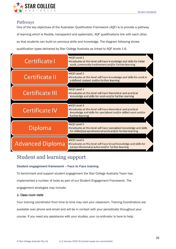

## <span id="page-19-0"></span>Pathways

One of the key objectives of the Australian Qualification Framework (AQF) is to provide a pathway of learning which is flexible, transparent and systematic. AQF qualifications link with each other so that students can build on previous skills and knowledge. The diagram following shows qualification types delivered by Star College Australia as linked to AQF levels 1-6.

| Certificate I           | •AQF Level 1<br>.Graduates at this level will have knowledge and skills for initial<br>work, community involvement and/or further learning                          |
|-------------------------|---------------------------------------------------------------------------------------------------------------------------------------------------------------------|
| Certificate II          | •AQF Level 2<br>.Graduates at this level will have knowledge and skills for work in<br>a defined context and/or further learning                                    |
| Certificate III         | •AQF Level 3<br>.Graduates at this level will have theoretical and practical<br>knowledge and skills for work and/or further learning                               |
| Certificate IV          | •AQF Level 4<br>.Graduates at this level will have theoretical and practical<br>knowledge and skills for specialised and/or skilled work and/or<br>further learning |
| Diploma                 | •AQF Level 5<br>.Graduates at this level will have specialised knowledge and skills<br>for skilled/paraprofessional work and/or further learning                    |
| <b>Advanced Diploma</b> | •AQF Level 6<br>.Graduates at this level will have broad knowledge and skills for<br>paraprofessional practice and/or further learning                              |

# <span id="page-19-1"></span>Student and learning support

## **Student engagement framework – Face to Face training**

To benchmark and support student engagement the Star College Australia Team has

implemented a number of tools as part of our Student Engagement Framework. The

engagement strategies may include:

## *1. Class room visits*

Your training coordinator from time to time may visit your classroom. Training Coordinators are

available over phone and email and will be in contact with your periodically throughout your

course. If you need any assistance with your studies, your co-ordinator is here to help.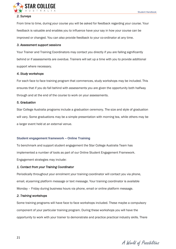

## *2. Surveys*

From time to time, during your course you will be asked for feedback regarding your course. Your feedback is valuable and enables you to influence have your say in how your course can be improved or changed. You can also provide feedback to your co-ordinator at any time.

#### *3. Assessment support sessions*

Your Trainer and Training Coordinators may contact you directly if you are falling significantly behind or if assessments are overdue. Trainers will set up a time with you to provide additional support where necessary.

### *4. Study workshops*

For each face to face training program that commences, study workshops may be included. This ensures that if you do fall behind with assessments you are given the opportunity both halfway through and at the end of the course to work on your assessments.

#### *5. Graduation*

Star College Australia programs include a graduation ceremony. The size and style of graduation will vary. Some graduations may be a simple presentation with morning tea, while others may be a larger event held at an external venue.

### **Student engagement framework – Online Training**

To benchmark and support student engagement the Star College Australia Team has implemented a number of tools as part of our Online Student Engagement Framework. Engagement strategies may include:

## *1. Contact from your Training Coordinator*

Periodically throughout your enrolment your training coordinator will contact you via phone, email, eLearning platform message or text message. Your training coordinator is available Monday – Friday during business hours via phone, email or online platform message.

#### *2. Training workshops*

Some training programs will have face to face workshops included. These maybe a compulsory component of your particular training program. During these workshops you will have the opportunity to work with your trainer to demonstrate and practice practical industry skills. There

A World of Possibilities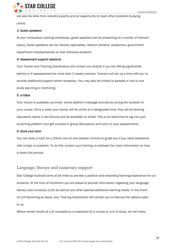

will also be talks from industry experts and an opportunity to meet other students studying online.

#### *3. Guest speakers*

At your compulsory training workshops, guest speakers will be presenting on a variety of relevant topics. Guest speakers can be industry specialists, relevant workers, academics, government department representatives or even previous students.

#### *4. Assessment support sessions*

Your Trainer and Training Coordinators will contact you directly if you are falling significantly behind or if assessments are more than 2 weeks overdue. Trainers will set up a time with you to provide additional support where necessary. You may also be invited to partake in one to one study planning or mentoring.

#### *5. e-Class*

Your trainer is available via email, online platform message and phone during the duration of your course. Once a week your trainer will be online at a designated time, they will be starting discussion topics in the forums and be available on eChat. This is an ideal time to log into your eLearning platform and get involved in group discussions and work on your assessments.

#### *6. Book your tutor*

You can book a tutor for a 20min one on one session (online) to guide you if you need assistance with a topic or question. To do this contact your training co-ordinator for more information on how to book this service.

## <span id="page-21-0"></span>Language, literacy and numeracy support

Star College Australia aims at all times to provide a positive and rewarding learning experience for our students. At the time of enrolment you are asked to provide information regarding your language, literacy and numeracy (LLN) as well as any other special/additional learning needs. In the event of LLN becoming an issue, your Training Coordinator will contact you to discuss the options open to us.

Where certain levels of LLN competency is essential for a course or unit of study, we will make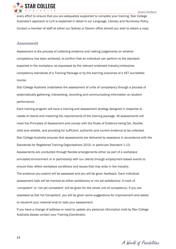

every effort to ensure that you are adequately supported to complete your training. Star College Australia's approach to LLN is explained in detail in our Language, Literacy and Numeracy Policy. Contact a member of staff at either our Sydney or Darwin office should you wish to obtain a copy.

## <span id="page-22-0"></span>Assessment

Assessment is the process of collecting evidence and making judgements on whether competency has been achieved, to confirm that an individual can perform to the standard expected in the workplace, as expressed by the relevant endorsed industry/enterprise competency standards of a Training Package or by the learning outcomes of a VET accredited course.

Star College Australia undertakes the assessment of units of competency through a process of systematically gathering, interpreting, recording and communicating information on student performance.

Each training program will have a training and assessment strategy designed in response to needs of clients and matching the requirements of the training package. All assessments will meet the Principles of Assessment and comply with the Rules of Evidence being fair, flexible, valid and reliable, and providing for sufficient, authentic and current evidence to be collected. Star College Australia ensures that assessments are delivered by assessors in accordance with the Standards for Registered Training Organisations 2015, in particular Standard 1.13. Assessments are conducted through flexible arrangements either as part of a workplace simulated environment or in partnership with our clients through employment-based events to ensure they reflect workplace conditions and issues that may arise in the industry. The evidence you submit will be assessed and you will be given feedback. Each individual assessment task will be marked as either satisfactory or not yet satisfactory. A mark of 'competent' or 'not yet competent' will be given for the whole unit of competency. If you are assessed as Not Yet Competent, you will be given some suggestions for improvement and asked to resubmit your material and/or redo your assessment.

If you have a change of address or need to update any personal information held by Star College Australia please contact your Training Coordinator.

A World of Possibilities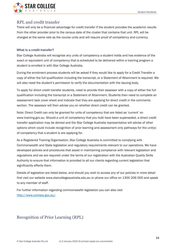

## <span id="page-23-0"></span>RPL and credit transfer

There will only be a financial advantage for credit transfer if the student provides the academic results from the other provider prior to the census date of the cluster that contains that unit. RPL will be charged at the same rate as the course units and will require proof of competency and currency.

## **What is a credit transfer?**

Star College Australia will recognise any units of competency a student holds and has evidence of the exact or equivalent unit of competency that is scheduled to be delivered within a training program a student is enrolled in with Star College Australia.

During the enrolment process students will be asked if they would like to apply for a Credit Transfer a copy of either the full qualification including the transcript, or a Statement of Attainment is required. We will also need the student's permission to verify the documentation with the issuing body.

To apply for direct credit transfer students, need to provide their assessor with a copy of either the full qualification including the transcript or a Statement of Attainment. Students then need to complete an assessment task cover sheet and indicate that they are applying for direct credit in the comments section. The assessor will then advise you on whether direct credit can be granted.

Note: Direct Credit can only be granted for units of competency that are listed as 'current' on www.training.gov.au. Should a unit of competency that you hold have been superseded, a direct credit transfer application may be denied and the Star College Australia representative will advise of other options which could include recognition of prior learning and assessment only pathways for the unit(s) of competency that a student is are applying for.

As a Registered Training Organisation, Star College Australia is committed to complying with Commonwealth and State legislation and regulatory requirements relevant to our operations. We have developed policies and procedures that assist in maintaining compliance with relevant legislation and regulations and we are required under the terms of our registration with the Australian Quality Skills Authority to ensure that information is provided to all our clients regarding current legislation that significantly effects them.

Details of legislation are listed below, and should you wish to access any of our policies in more detail first visit our website www.starcollegeaustralia.edu.au or phone our office on 1300 206 000 and speak to any member of staff.

For further information regarding commonwealth legislation you can also visit [http://www.comlaw.gov.au/.](http://www.comlaw.gov.au/)

## <span id="page-23-1"></span>Recognition of Prior Learning (RPL)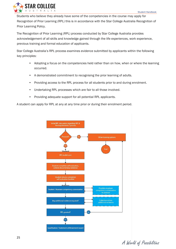

Students who believe they already have some of the competencies in the course may apply for Recognition of Prior Learning (RPL) this is in accordance with the Star College Australia Recognition of Prior Learning Policy.

The Recognition of Prior Learning (RPL) process conducted by Star College Australia provides acknowledgement of all skills and knowledge gained through the life experiences, work experience, previous training and formal education of applicants.

Star College Australia's RPL process examines evidence submitted by applicants within the following key principles:

- Adopting a focus on the competencies held rather than on how, when or where the learning occurred.
- A demonstrated commitment to recognising the prior learning of adults.
- Providing access to the RPL process for all students prior to and during enrolment.
- Undertaking RPL processes which are fair to all those involved.
- Providing adequate support for all potential RPL applicants.

A student can apply for RPL at any at any time prior or during their enrolment period.



A World of Possibilities